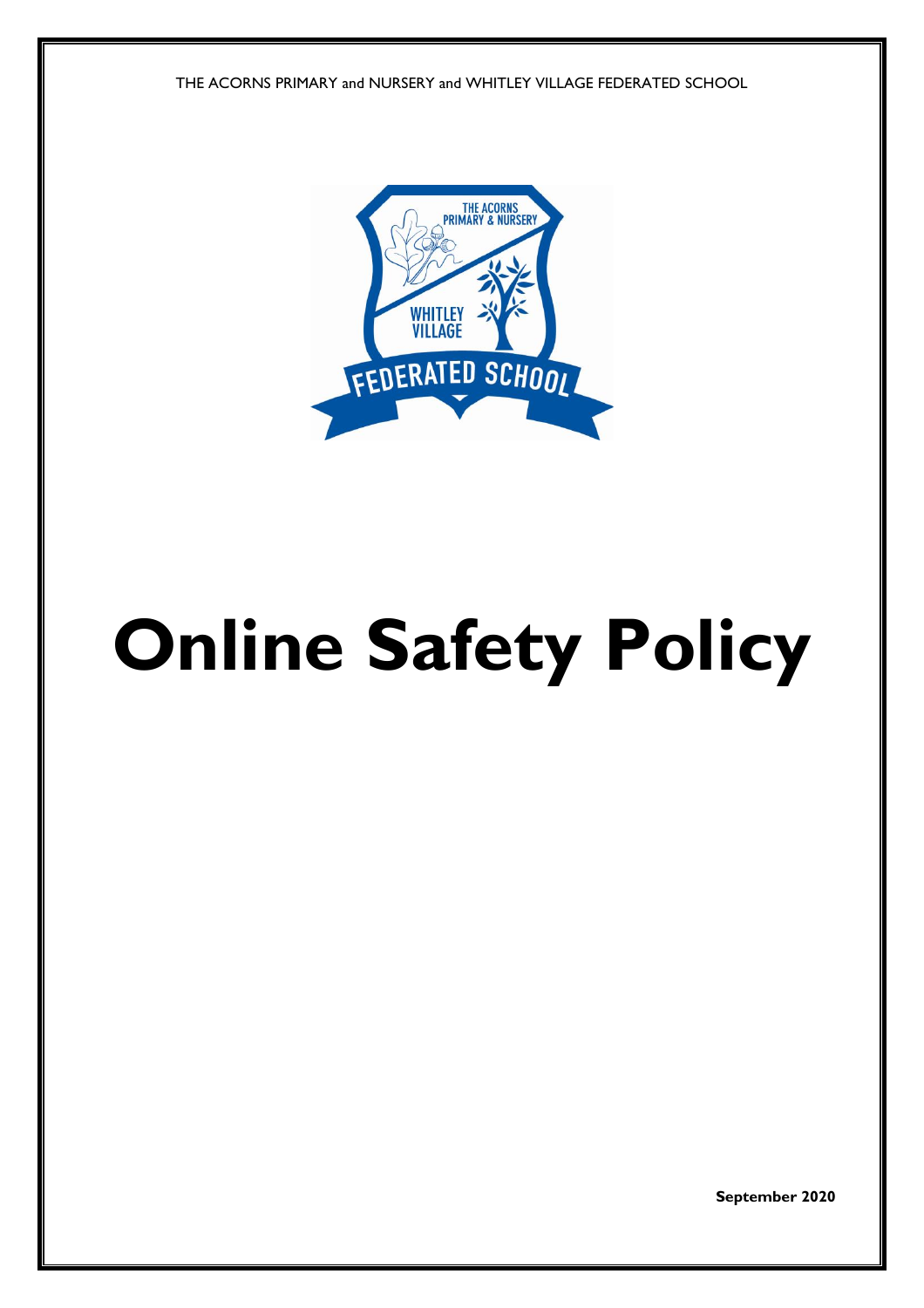THE ACORNS PRIMARY and NURSERY and WHITLEY VILLAGE FEDERATED SCHOOL



# **Online Safety Policy**

**September 2020**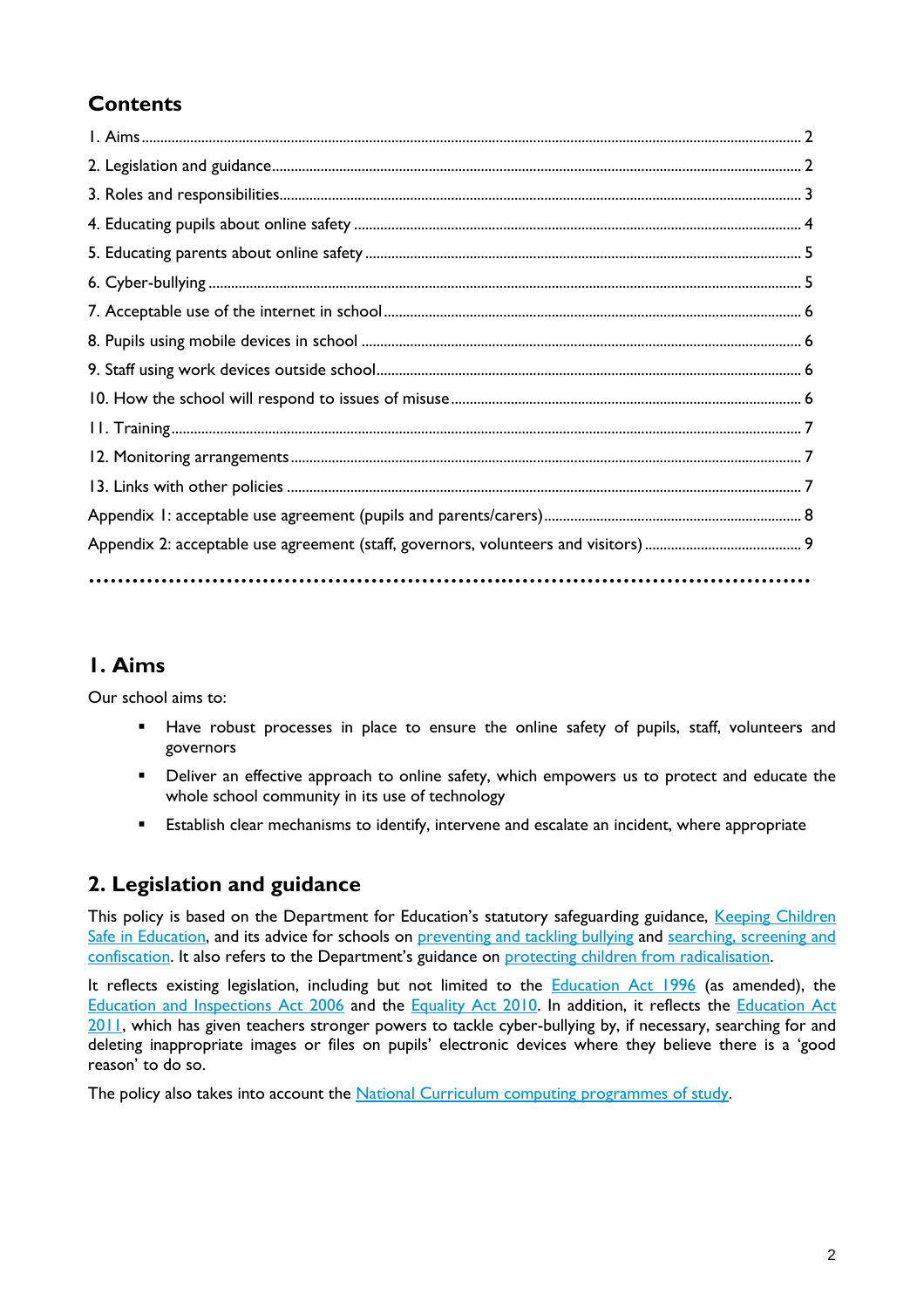# **Contents**

## **1. Aims**

Our school aims to:

- Have robust processes in place to ensure the online safety of pupils, staff, volunteers and governors
- **•** Deliver an effective approach to online safety, which empowers us to protect and educate the whole school community in its use of technology
- **Establish clear mechanisms to identify, intervene and escalate an incident, where appropriate**

# **2. Legislation and guidance**

This policy is based on the Department for Education's statutory safeguarding guidance, Keeping Children [Safe in Education,](https://www.gov.uk/government/publications/keeping-children-safe-in-education--2) and its advice for schools on [preventing and tackling bullying](https://www.gov.uk/government/publications/preventing-and-tackling-bullying) and searching, screening and [confiscation](https://www.gov.uk/government/publications/searching-screening-and-confiscation). It also refers to the Department's guidance on [protecting children](https://www.gov.uk/government/publications/protecting-children-from-radicalisation-the-prevent-duty) from radicalisation.

It reflects existing legislation, including but not limited to the **[Education Act 1996](https://www.legislation.gov.uk/ukpga/1996/56/contents)** (as amended), the [Education and Inspections Act 2006](https://www.legislation.gov.uk/ukpga/2006/40/contents) and the [Equality Act 2010.](https://www.legislation.gov.uk/ukpga/2010/15/contents) In addition, it reflects the [Education Act](http://www.legislation.gov.uk/ukpga/2011/21/contents/enacted)  [2011,](http://www.legislation.gov.uk/ukpga/2011/21/contents/enacted) which has given teachers stronger powers to tackle cyber-bullying by, if necessary, searching for and deleting inappropriate images or files on pupils' electronic devices where they believe there is a 'good reason' to do so.

The policy also takes into account the [National Curriculum computing programmes of study.](https://www.gov.uk/government/publications/national-curriculum-in-england-computing-programmes-of-study)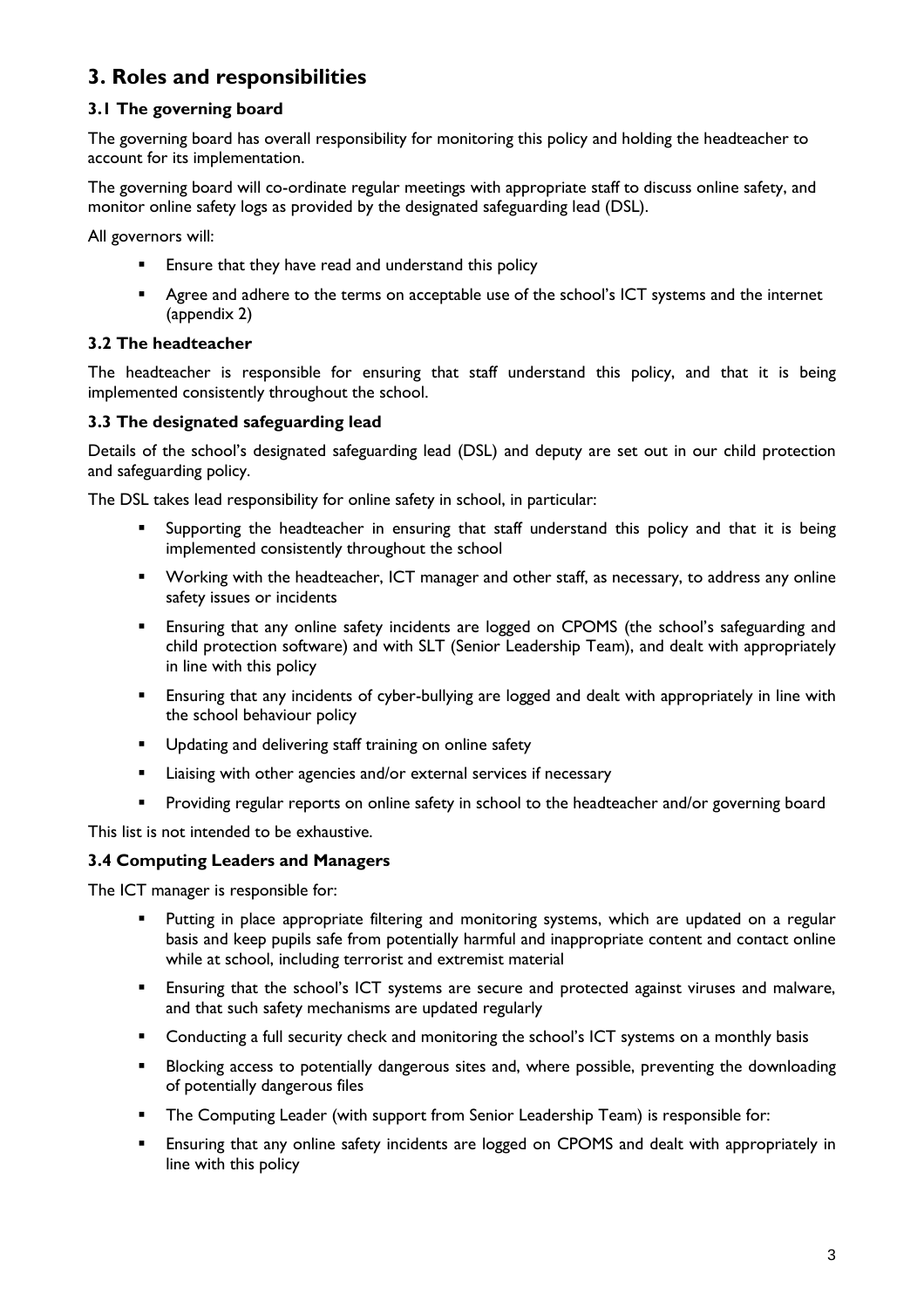# **3. Roles and responsibilities**

#### **3.1 The governing board**

The governing board has overall responsibility for monitoring this policy and holding the headteacher to account for its implementation.

The governing board will co-ordinate regular meetings with appropriate staff to discuss online safety, and monitor online safety logs as provided by the designated safeguarding lead (DSL).

All governors will:

- **Ensure that they have read and understand this policy**
- **Agree and adhere to the terms on acceptable use of the school's ICT systems and the internet** (appendix 2)

#### **3.2 The headteacher**

The headteacher is responsible for ensuring that staff understand this policy, and that it is being implemented consistently throughout the school.

#### **3.3 The designated safeguarding lead**

Details of the school's designated safeguarding lead (DSL) and deputy are set out in our child protection and safeguarding policy.

The DSL takes lead responsibility for online safety in school, in particular:

- Supporting the headteacher in ensuring that staff understand this policy and that it is being implemented consistently throughout the school
- **Working with the headteacher, ICT manager and other staff, as necessary, to address any online** safety issues or incidents
- Ensuring that any online safety incidents are logged on CPOMS (the school's safeguarding and child protection software) and with SLT (Senior Leadership Team), and dealt with appropriately in line with this policy
- **Ensuring that any incidents of cyber-bullying are logged and dealt with appropriately in line with** the school behaviour policy
- **Updating and delivering staff training on online safety**
- **EXECT** Liaising with other agencies and/or external services if necessary
- Providing regular reports on online safety in school to the headteacher and/or governing board

This list is not intended to be exhaustive.

#### **3.4 Computing Leaders and Managers**

The ICT manager is responsible for:

- Putting in place appropriate filtering and monitoring systems, which are updated on a regular basis and keep pupils safe from potentially harmful and inappropriate content and contact online while at school, including terrorist and extremist material
- Ensuring that the school's ICT systems are secure and protected against viruses and malware, and that such safety mechanisms are updated regularly
- **Conducting a full security check and monitoring the school's ICT systems on a monthly basis**
- **Blocking access to potentially dangerous sites and, where possible, preventing the downloading** of potentially dangerous files
- The Computing Leader (with support from Senior Leadership Team) is responsible for:
- Ensuring that any online safety incidents are logged on CPOMS and dealt with appropriately in line with this policy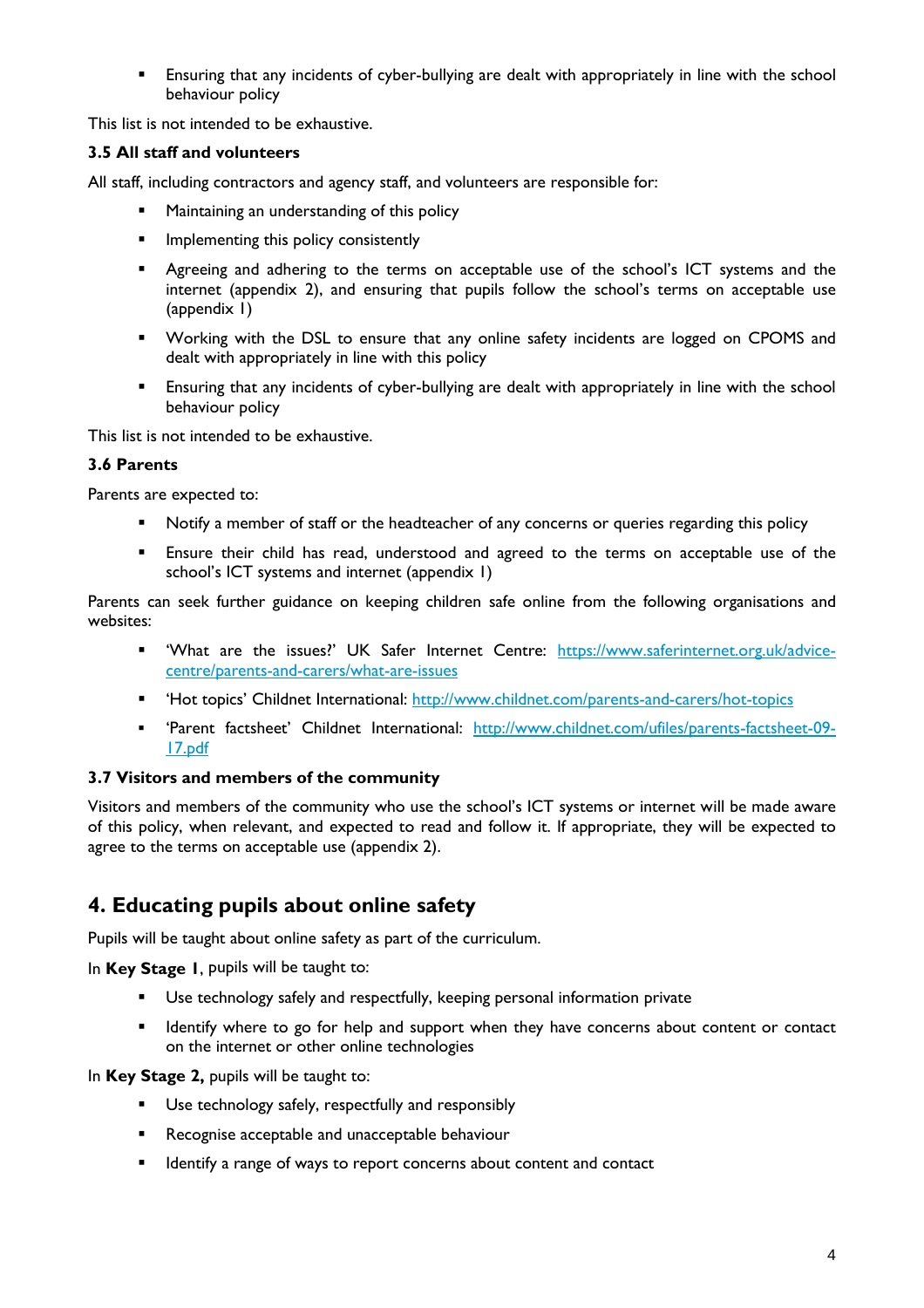Ensuring that any incidents of cyber-bullying are dealt with appropriately in line with the school behaviour policy

This list is not intended to be exhaustive.

#### **3.5 All staff and volunteers**

All staff, including contractors and agency staff, and volunteers are responsible for:

- **•** Maintaining an understanding of this policy
- **Implementing this policy consistently**
- Agreeing and adhering to the terms on acceptable use of the school's ICT systems and the internet (appendix 2), and ensuring that pupils follow the school's terms on acceptable use (appendix 1)
- **•** Working with the DSL to ensure that any online safety incidents are logged on CPOMS and dealt with appropriately in line with this policy
- Ensuring that any incidents of cyber-bullying are dealt with appropriately in line with the school behaviour policy

This list is not intended to be exhaustive.

#### **3.6 Parents**

Parents are expected to:

- Notify a member of staff or the headteacher of any concerns or queries regarding this policy
- Ensure their child has read, understood and agreed to the terms on acceptable use of the school's ICT systems and internet (appendix 1)

Parents can seek further guidance on keeping children safe online from the following organisations and websites:

- " 'What are the issues?' UK Safer Internet Centre: [https://www.saferinternet.org.uk/advice](https://www.saferinternet.org.uk/advice-centre/parents-and-carers/what-are-issues)[centre/parents-and-carers/what-are-issues](https://www.saferinternet.org.uk/advice-centre/parents-and-carers/what-are-issues)
- " 'Hot topics' Childnet International:<http://www.childnet.com/parents-and-carers/hot-topics>
- 'Parent factsheet' Childnet International: [http://www.childnet.com/ufiles/parents-factsheet-09-](http://www.childnet.com/ufiles/parents-factsheet-09-17.pdf) [17.pdf](http://www.childnet.com/ufiles/parents-factsheet-09-17.pdf)

#### **3.7 Visitors and members of the community**

Visitors and members of the community who use the school's ICT systems or internet will be made aware of this policy, when relevant, and expected to read and follow it. If appropriate, they will be expected to agree to the terms on acceptable use (appendix 2).

## **4. Educating pupils about online safety**

Pupils will be taught about online safety as part of the curriculum.

In **Key Stage 1**, pupils will be taught to:

- Use technology safely and respectfully, keeping personal information private
- **If I**dentify where to go for help and support when they have concerns about content or contact on the internet or other online technologies

In **Key Stage 2,** pupils will be taught to:

- Use technology safely, respectfully and responsibly
- **Recognise acceptable and unacceptable behaviour**
- **I** Identify a range of ways to report concerns about content and contact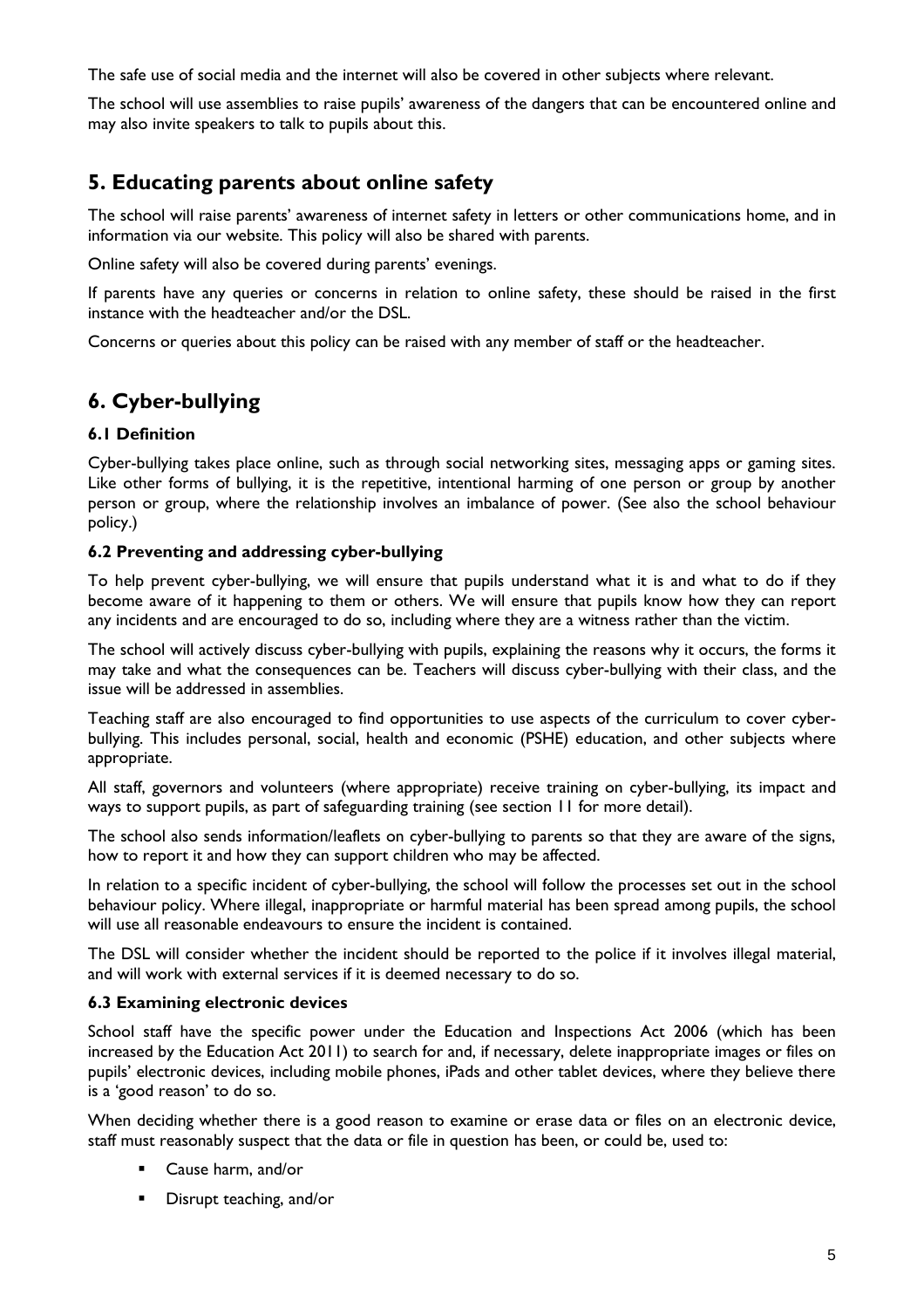The safe use of social media and the internet will also be covered in other subjects where relevant.

The school will use assemblies to raise pupils' awareness of the dangers that can be encountered online and may also invite speakers to talk to pupils about this.

## **5. Educating parents about online safety**

The school will raise parents' awareness of internet safety in letters or other communications home, and in information via our website. This policy will also be shared with parents.

Online safety will also be covered during parents' evenings.

If parents have any queries or concerns in relation to online safety, these should be raised in the first instance with the headteacher and/or the DSL.

Concerns or queries about this policy can be raised with any member of staff or the headteacher.

# **6. Cyber-bullying**

#### **6.1 Definition**

Cyber-bullying takes place online, such as through social networking sites, messaging apps or gaming sites. Like other forms of bullying, it is the repetitive, intentional harming of one person or group by another person or group, where the relationship involves an imbalance of power. (See also the school behaviour policy.)

#### **6.2 Preventing and addressing cyber-bullying**

To help prevent cyber-bullying, we will ensure that pupils understand what it is and what to do if they become aware of it happening to them or others. We will ensure that pupils know how they can report any incidents and are encouraged to do so, including where they are a witness rather than the victim.

The school will actively discuss cyber-bullying with pupils, explaining the reasons why it occurs, the forms it may take and what the consequences can be. Teachers will discuss cyber-bullying with their class, and the issue will be addressed in assemblies.

Teaching staff are also encouraged to find opportunities to use aspects of the curriculum to cover cyberbullying. This includes personal, social, health and economic (PSHE) education, and other subjects where appropriate.

All staff, governors and volunteers (where appropriate) receive training on cyber-bullying, its impact and ways to support pupils, as part of safeguarding training (see section 11 for more detail).

The school also sends information/leaflets on cyber-bullying to parents so that they are aware of the signs, how to report it and how they can support children who may be affected.

In relation to a specific incident of cyber-bullying, the school will follow the processes set out in the school behaviour policy. Where illegal, inappropriate or harmful material has been spread among pupils, the school will use all reasonable endeavours to ensure the incident is contained.

The DSL will consider whether the incident should be reported to the police if it involves illegal material, and will work with external services if it is deemed necessary to do so.

#### **6.3 Examining electronic devices**

School staff have the specific power under the Education and Inspections Act 2006 (which has been increased by the Education Act 2011) to search for and, if necessary, delete inappropriate images or files on pupils' electronic devices, including mobile phones, iPads and other tablet devices, where they believe there is a 'good reason' to do so.

When deciding whether there is a good reason to examine or erase data or files on an electronic device, staff must reasonably suspect that the data or file in question has been, or could be, used to:

- Cause harm, and/or
- **Disrupt teaching, and/or**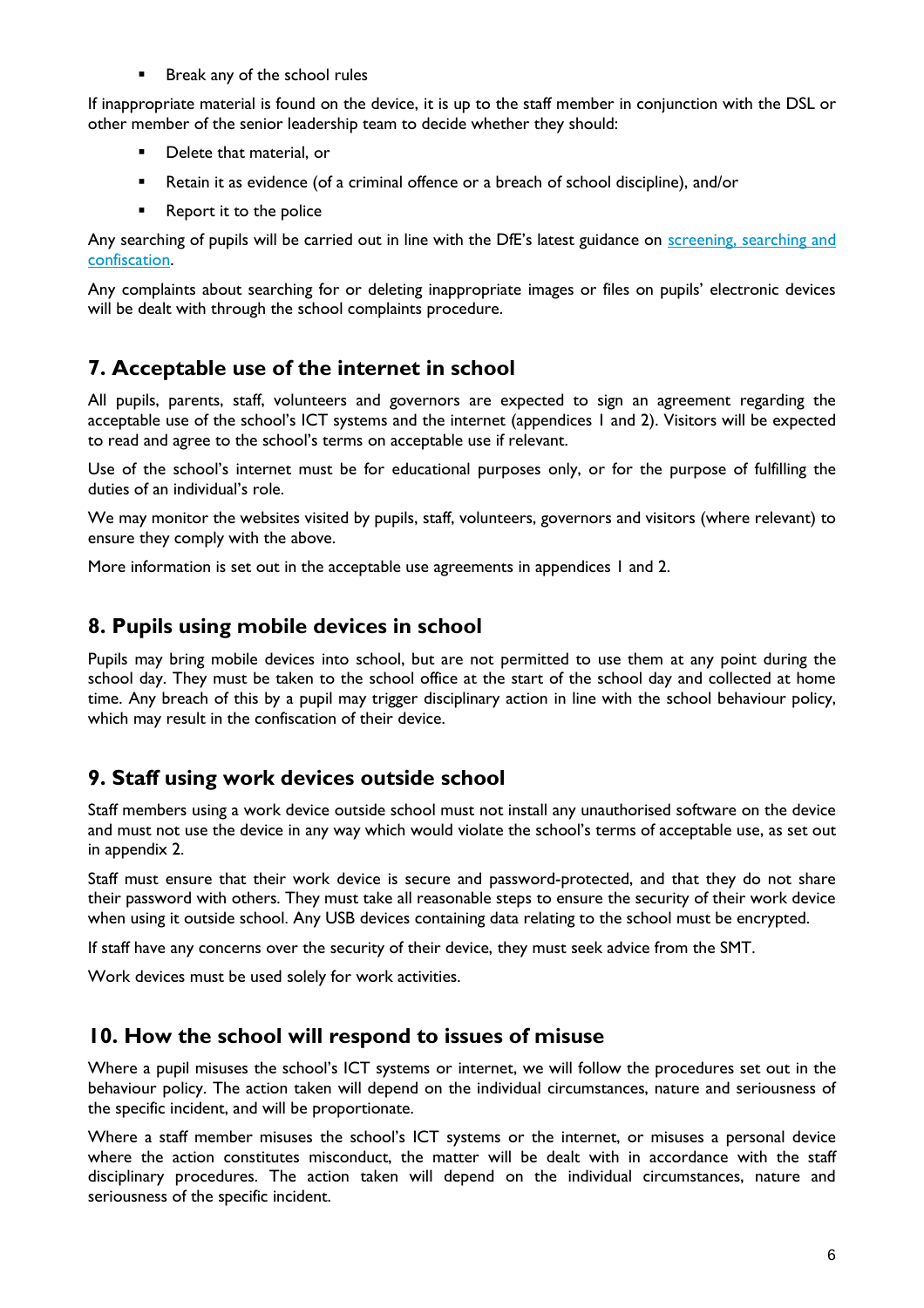**Break any of the school rules** 

If inappropriate material is found on the device, it is up to the staff member in conjunction with the DSL or other member of the senior leadership team to decide whether they should:

- **•** Delete that material, or
- Retain it as evidence (of a criminal offence or a breach of school discipline), and/or
- **Report it to the police**

Any searching of pupils will be carried out in line with the DfE's latest guidance on [screening, searching](https://www.gov.uk/government/publications/searching-screening-and-confiscation) and [confiscation.](https://www.gov.uk/government/publications/searching-screening-and-confiscation)

Any complaints about searching for or deleting inappropriate images or files on pupils' electronic devices will be dealt with through the school complaints procedure.

## **7. Acceptable use of the internet in school**

All pupils, parents, staff, volunteers and governors are expected to sign an agreement regarding the acceptable use of the school's ICT systems and the internet (appendices 1 and 2). Visitors will be expected to read and agree to the school's terms on acceptable use if relevant.

Use of the school's internet must be for educational purposes only, or for the purpose of fulfilling the duties of an individual's role.

We may monitor the websites visited by pupils, staff, volunteers, governors and visitors (where relevant) to ensure they comply with the above.

More information is set out in the acceptable use agreements in appendices 1 and 2.

## **8. Pupils using mobile devices in school**

Pupils may bring mobile devices into school, but are not permitted to use them at any point during the school day. They must be taken to the school office at the start of the school day and collected at home time. Any breach of this by a pupil may trigger disciplinary action in line with the school behaviour policy, which may result in the confiscation of their device.

## **9. Staff using work devices outside school**

Staff members using a work device outside school must not install any unauthorised software on the device and must not use the device in any way which would violate the school's terms of acceptable use, as set out in appendix 2.

Staff must ensure that their work device is secure and password-protected, and that they do not share their password with others. They must take all reasonable steps to ensure the security of their work device when using it outside school. Any USB devices containing data relating to the school must be encrypted.

If staff have any concerns over the security of their device, they must seek advice from the SMT.

Work devices must be used solely for work activities.

## **10. How the school will respond to issues of misuse**

Where a pupil misuses the school's ICT systems or internet, we will follow the procedures set out in the behaviour policy. The action taken will depend on the individual circumstances, nature and seriousness of the specific incident, and will be proportionate.

Where a staff member misuses the school's ICT systems or the internet, or misuses a personal device where the action constitutes misconduct, the matter will be dealt with in accordance with the staff disciplinary procedures. The action taken will depend on the individual circumstances, nature and seriousness of the specific incident.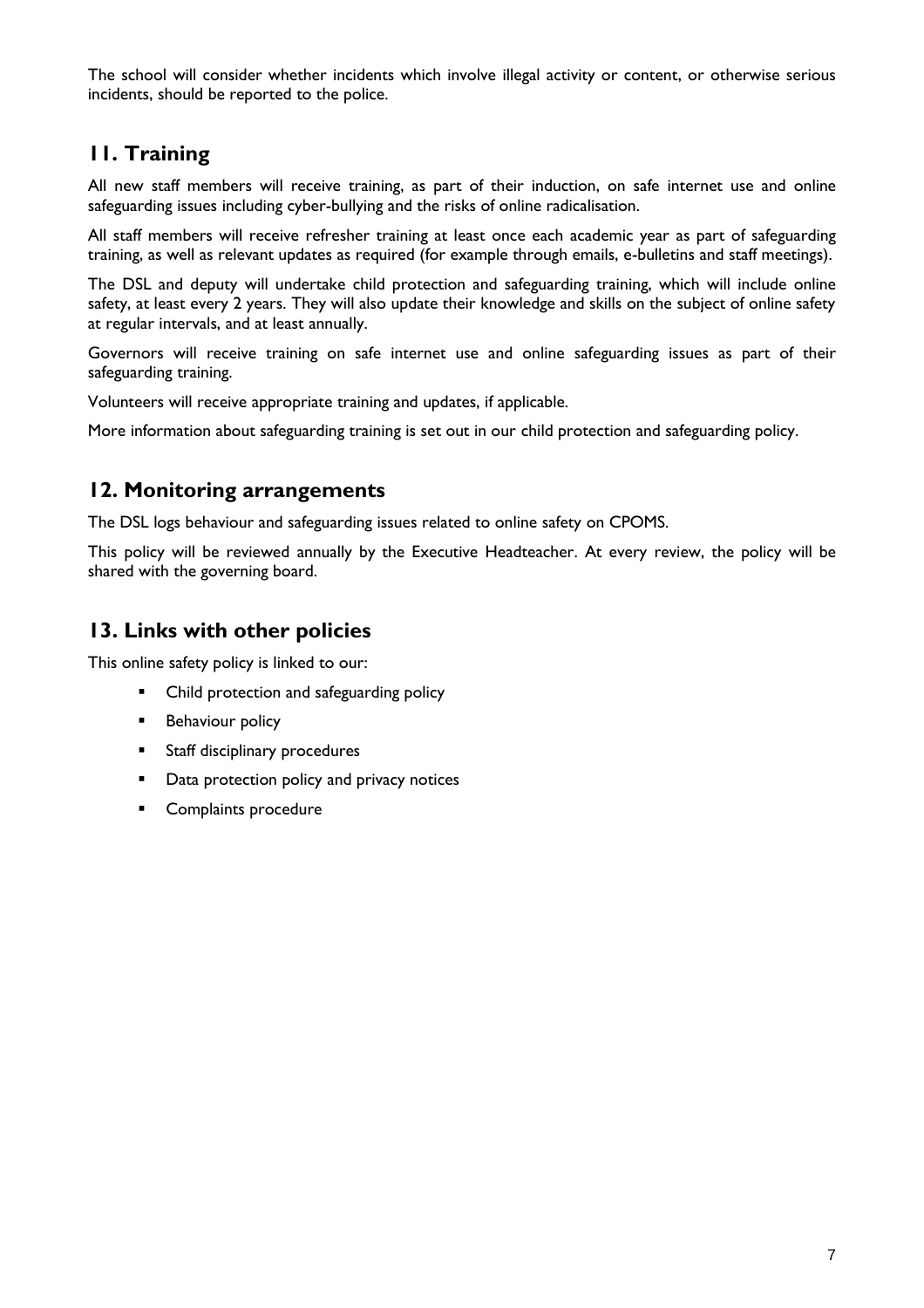The school will consider whether incidents which involve illegal activity or content, or otherwise serious incidents, should be reported to the police.

## **11. Training**

All new staff members will receive training, as part of their induction, on safe internet use and online safeguarding issues including cyber-bullying and the risks of online radicalisation.

All staff members will receive refresher training at least once each academic year as part of safeguarding training, as well as relevant updates as required (for example through emails, e-bulletins and staff meetings).

The DSL and deputy will undertake child protection and safeguarding training, which will include online safety, at least every 2 years. They will also update their knowledge and skills on the subject of online safety at regular intervals, and at least annually.

Governors will receive training on safe internet use and online safeguarding issues as part of their safeguarding training.

Volunteers will receive appropriate training and updates, if applicable.

More information about safeguarding training is set out in our child protection and safeguarding policy.

## **12. Monitoring arrangements**

The DSL logs behaviour and safeguarding issues related to online safety on CPOMS.

This policy will be reviewed annually by the Executive Headteacher. At every review, the policy will be shared with the governing board.

## **13. Links with other policies**

This online safety policy is linked to our:

- Child protection and safeguarding policy
- **Behaviour policy**
- **Staff disciplinary procedures**
- **•** Data protection policy and privacy notices
- **Complaints procedure**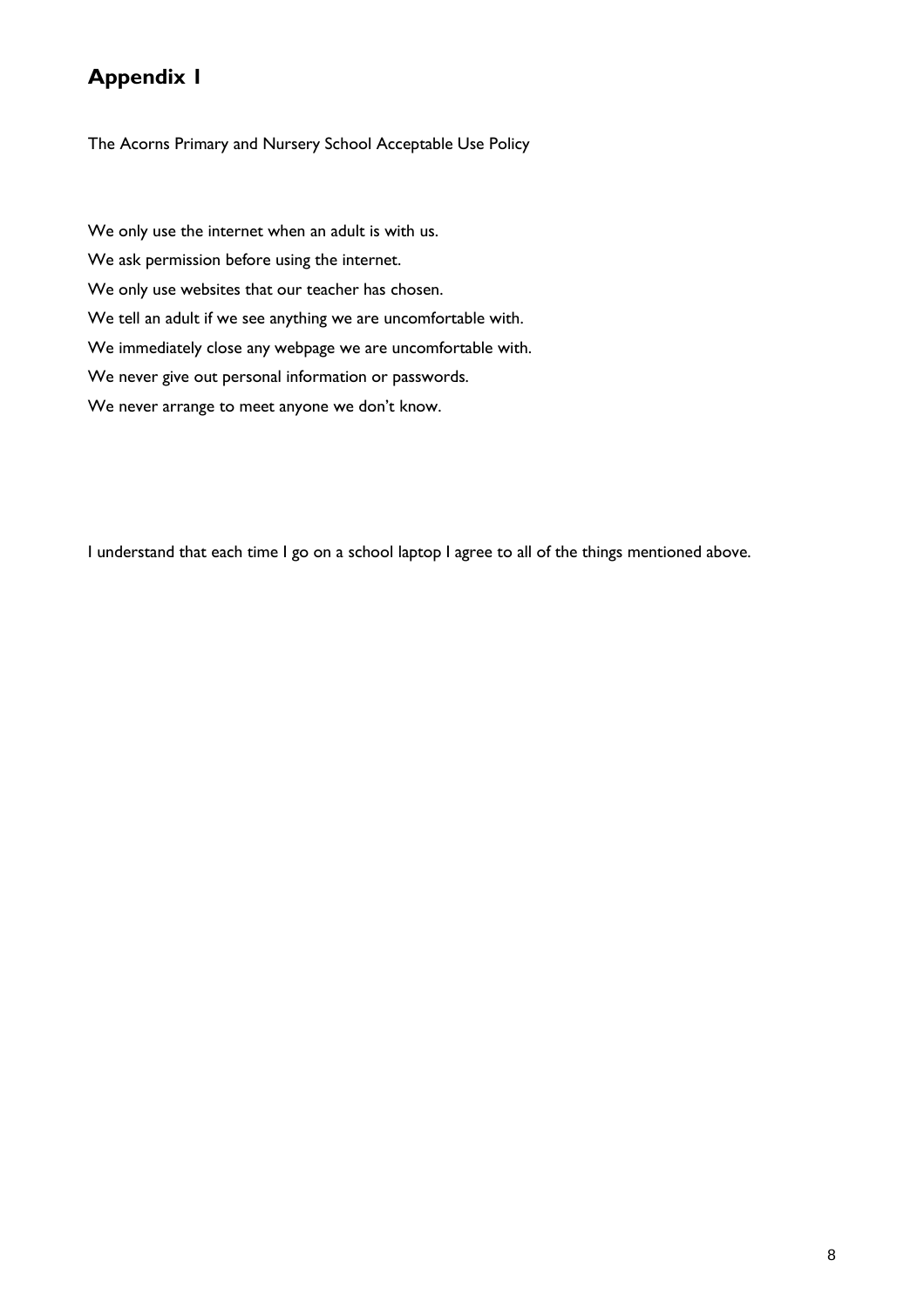# **Appendix 1**

The Acorns Primary and Nursery School Acceptable Use Policy

We only use the internet when an adult is with us. We ask permission before using the internet. We only use websites that our teacher has chosen. We tell an adult if we see anything we are uncomfortable with. We immediately close any webpage we are uncomfortable with. We never give out personal information or passwords. We never arrange to meet anyone we don't know.

I understand that each time I go on a school laptop I agree to all of the things mentioned above.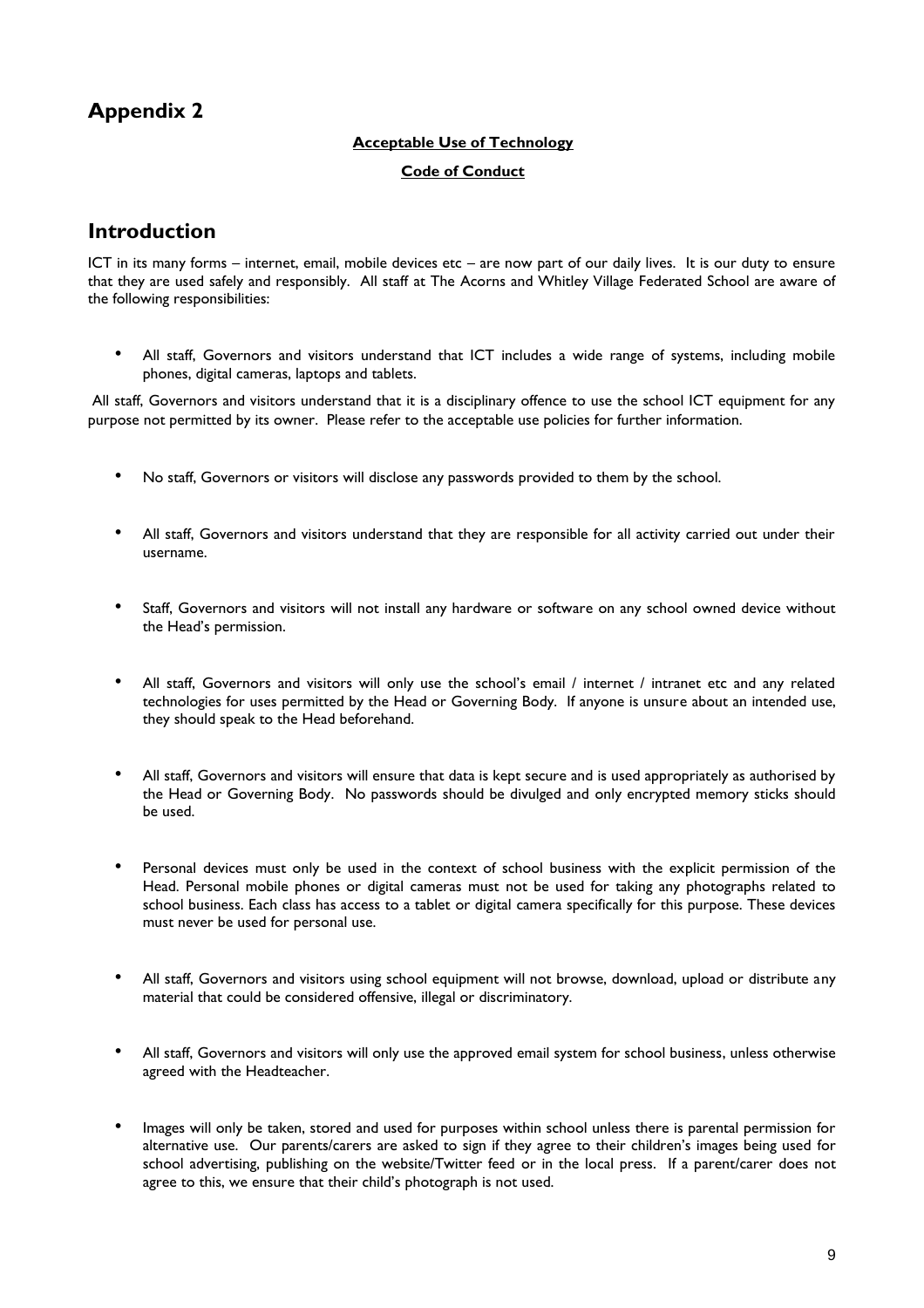# **Appendix 2**

#### **Acceptable Use of Technology**

#### **Code of Conduct**

## **Introduction**

ICT in its many forms – internet, email, mobile devices etc – are now part of our daily lives. It is our duty to ensure that they are used safely and responsibly. All staff at The Acorns and Whitley Village Federated School are aware of the following responsibilities:

• All staff, Governors and visitors understand that ICT includes a wide range of systems, including mobile phones, digital cameras, laptops and tablets.

All staff, Governors and visitors understand that it is a disciplinary offence to use the school ICT equipment for any purpose not permitted by its owner. Please refer to the acceptable use policies for further information.

- No staff, Governors or visitors will disclose any passwords provided to them by the school.
- All staff, Governors and visitors understand that they are responsible for all activity carried out under their username.
- Staff, Governors and visitors will not install any hardware or software on any school owned device without the Head's permission.
- All staff, Governors and visitors will only use the school's email / internet / intranet etc and any related technologies for uses permitted by the Head or Governing Body. If anyone is unsure about an intended use, they should speak to the Head beforehand.
- All staff, Governors and visitors will ensure that data is kept secure and is used appropriately as authorised by the Head or Governing Body. No passwords should be divulged and only encrypted memory sticks should be used.
- Personal devices must only be used in the context of school business with the explicit permission of the Head. Personal mobile phones or digital cameras must not be used for taking any photographs related to school business. Each class has access to a tablet or digital camera specifically for this purpose. These devices must never be used for personal use.
- All staff, Governors and visitors using school equipment will not browse, download, upload or distribute any material that could be considered offensive, illegal or discriminatory.
- All staff, Governors and visitors will only use the approved email system for school business, unless otherwise agreed with the Headteacher.
- Images will only be taken, stored and used for purposes within school unless there is parental permission for alternative use. Our parents/carers are asked to sign if they agree to their children's images being used for school advertising, publishing on the website/Twitter feed or in the local press. If a parent/carer does not agree to this, we ensure that their child's photograph is not used.